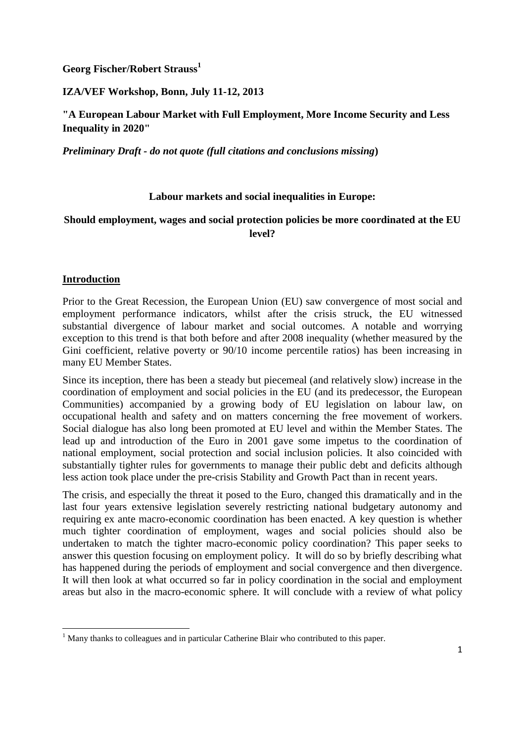**Georg Fischer/Robert Strauss<sup>1</sup>**

## **IZA/VEF Workshop, Bonn, July 11-12, 2013**

**"A European Labour Market with Full Employment, More Income Security and Less Inequality in 2020"**

*Preliminary Draft - do not quote (full citations and conclusions missing***)**

## **Labour markets and social inequalities in Europe:**

# **Should employment, wages and social protection policies be more coordinated at the EU level?**

## **Introduction**

 $\overline{\phantom{a}}$ 

Prior to the Great Recession, the European Union (EU) saw convergence of most social and employment performance indicators, whilst after the crisis struck, the EU witnessed substantial divergence of labour market and social outcomes. A notable and worrying exception to this trend is that both before and after 2008 inequality (whether measured by the Gini coefficient, relative poverty or 90/10 income percentile ratios) has been increasing in many EU Member States.

Since its inception, there has been a steady but piecemeal (and relatively slow) increase in the coordination of employment and social policies in the EU (and its predecessor, the European Communities) accompanied by a growing body of EU legislation on labour law, on occupational health and safety and on matters concerning the free movement of workers. Social dialogue has also long been promoted at EU level and within the Member States. The lead up and introduction of the Euro in 2001 gave some impetus to the coordination of national employment, social protection and social inclusion policies. It also coincided with substantially tighter rules for governments to manage their public debt and deficits although less action took place under the pre-crisis Stability and Growth Pact than in recent years.

The crisis, and especially the threat it posed to the Euro, changed this dramatically and in the last four years extensive legislation severely restricting national budgetary autonomy and requiring ex ante macro-economic coordination has been enacted. A key question is whether much tighter coordination of employment, wages and social policies should also be undertaken to match the tighter macro-economic policy coordination? This paper seeks to answer this question focusing on employment policy. It will do so by briefly describing what has happened during the periods of employment and social convergence and then divergence. It will then look at what occurred so far in policy coordination in the social and employment areas but also in the macro-economic sphere. It will conclude with a review of what policy

<sup>&</sup>lt;sup>1</sup> Many thanks to colleagues and in particular Catherine Blair who contributed to this paper.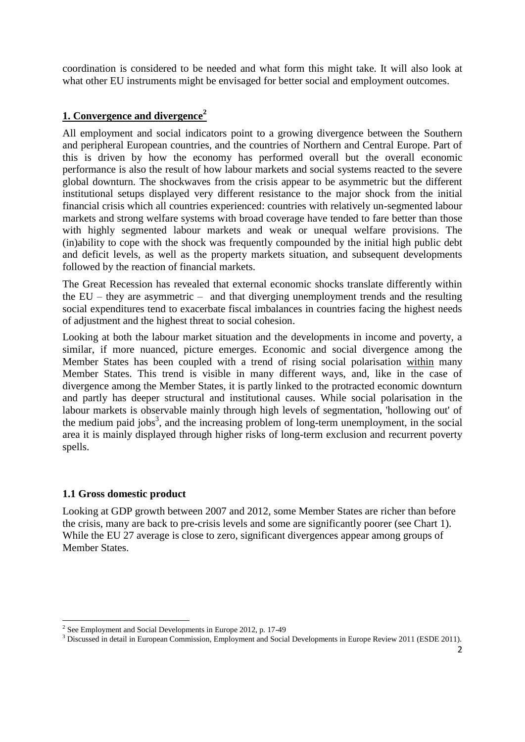coordination is considered to be needed and what form this might take. It will also look at what other EU instruments might be envisaged for better social and employment outcomes.

# **1. Convergence and divergence<sup>2</sup>**

All employment and social indicators point to a growing divergence between the Southern and peripheral European countries, and the countries of Northern and Central Europe. Part of this is driven by how the economy has performed overall but the overall economic performance is also the result of how labour markets and social systems reacted to the severe global downturn. The shockwaves from the crisis appear to be asymmetric but the different institutional setups displayed very different resistance to the major shock from the initial financial crisis which all countries experienced: countries with relatively un-segmented labour markets and strong welfare systems with broad coverage have tended to fare better than those with highly segmented labour markets and weak or unequal welfare provisions. The (in)ability to cope with the shock was frequently compounded by the initial high public debt and deficit levels, as well as the property markets situation, and subsequent developments followed by the reaction of financial markets.

The Great Recession has revealed that external economic shocks translate differently within the EU – they are asymmetric – and that diverging unemployment trends and the resulting social expenditures tend to exacerbate fiscal imbalances in countries facing the highest needs of adjustment and the highest threat to social cohesion.

Looking at both the labour market situation and the developments in income and poverty, a similar, if more nuanced, picture emerges. Economic and social divergence among the Member States has been coupled with a trend of rising social polarisation within many Member States. This trend is visible in many different ways, and, like in the case of divergence among the Member States, it is partly linked to the protracted economic downturn and partly has deeper structural and institutional causes. While social polarisation in the labour markets is observable mainly through high levels of segmentation, 'hollowing out' of the medium paid jobs<sup>3</sup>, and the increasing problem of long-term unemployment, in the social area it is mainly displayed through higher risks of long-term exclusion and recurrent poverty spells.

# **1.1 Gross domestic product**

 $\overline{\phantom{a}}$ 

Looking at GDP growth between 2007 and 2012, some Member States are richer than before the crisis, many are back to pre-crisis levels and some are significantly poorer (see Chart 1). While the EU 27 average is close to zero, significant divergences appear among groups of Member States.

 $2^{2}$  See Employment and Social Developments in Europe 2012, p. 17-49

<sup>&</sup>lt;sup>3</sup> Discussed in detail in European Commission, Employment and Social Developments in Europe Review 2011 (ESDE 2011).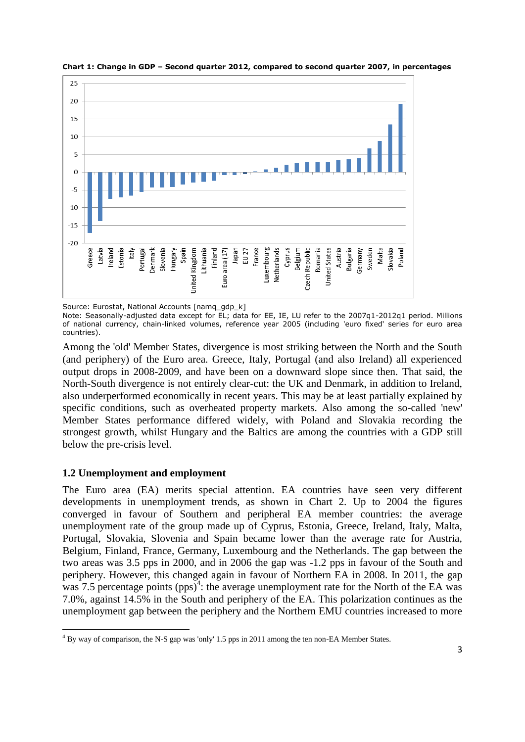

**Chart 1: Change in GDP – Second quarter 2012, compared to second quarter 2007, in percentages**

Note: Seasonally-adjusted data except for EL; data for EE, IE, LU refer to the 2007q1-2012q1 period. Millions of national currency, chain-linked volumes, reference year 2005 (including 'euro fixed' series for euro area countries).

Among the 'old' Member States, divergence is most striking between the North and the South (and periphery) of the Euro area. Greece, Italy, Portugal (and also Ireland) all experienced output drops in 2008-2009, and have been on a downward slope since then. That said, the North-South divergence is not entirely clear-cut: the UK and Denmark, in addition to Ireland, also underperformed economically in recent years. This may be at least partially explained by specific conditions, such as overheated property markets. Also among the so-called 'new' Member States performance differed widely, with Poland and Slovakia recording the strongest growth, whilst Hungary and the Baltics are among the countries with a GDP still below the pre-crisis level.

# **1.2 Unemployment and employment**

The Euro area (EA) merits special attention. EA countries have seen very different developments in unemployment trends, as shown in Chart 2. Up to 2004 the figures converged in favour of Southern and peripheral EA member countries: the average unemployment rate of the group made up of Cyprus, Estonia, Greece, Ireland, Italy, Malta, Portugal, Slovakia, Slovenia and Spain became lower than the average rate for Austria, Belgium, Finland, France, Germany, Luxembourg and the Netherlands. The gap between the two areas was 3.5 pps in 2000, and in 2006 the gap was -1.2 pps in favour of the South and periphery. However, this changed again in favour of Northern EA in 2008. In 2011, the gap was 7.5 percentage points  $(pps)^4$ : the average unemployment rate for the North of the EA was 7.0%, against 14.5% in the South and periphery of the EA. This polarization continues as the unemployment gap between the periphery and the Northern EMU countries increased to more

Source: Eurostat, National Accounts [namq\_gdp\_k]

 $\overline{\phantom{a}}$ <sup>4</sup> By way of comparison, the N-S gap was 'only' 1.5 pps in 2011 among the ten non-EA Member States.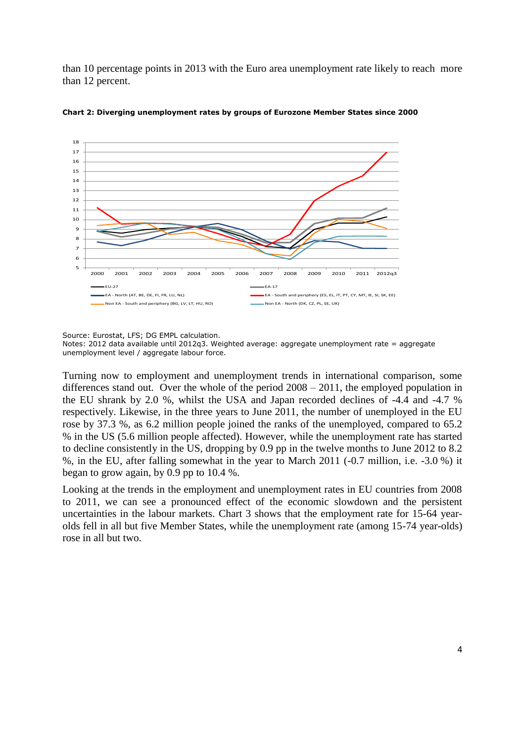than 10 percentage points in 2013 with the Euro area unemployment rate likely to reach more than 12 percent.



**Chart 2: Diverging unemployment rates by groups of Eurozone Member States since 2000**

Source: Eurostat, LFS; DG EMPL calculation.

Notes: 2012 data available until 2012q3. Weighted average: aggregate unemployment rate = aggregate unemployment level / aggregate labour force.

Turning now to employment and unemployment trends in international comparison, some differences stand out. Over the whole of the period 2008 – 2011, the employed population in the EU shrank by 2.0 %, whilst the USA and Japan recorded declines of -4.4 and -4.7 % respectively. Likewise, in the three years to June 2011, the number of unemployed in the EU rose by 37.3 %, as 6.2 million people joined the ranks of the unemployed, compared to 65.2 % in the US (5.6 million people affected). However, while the unemployment rate has started to decline consistently in the US, dropping by 0.9 pp in the twelve months to June 2012 to 8.2 %, in the EU, after falling somewhat in the year to March 2011 (-0.7 million, i.e. -3.0 %) it began to grow again, by 0.9 pp to 10.4 %.

Looking at the trends in the employment and unemployment rates in EU countries from 2008 to 2011, we can see a pronounced effect of the economic slowdown and the persistent uncertainties in the labour markets. Chart 3 shows that the employment rate for 15-64 yearolds fell in all but five Member States, while the unemployment rate (among 15-74 year-olds) rose in all but two.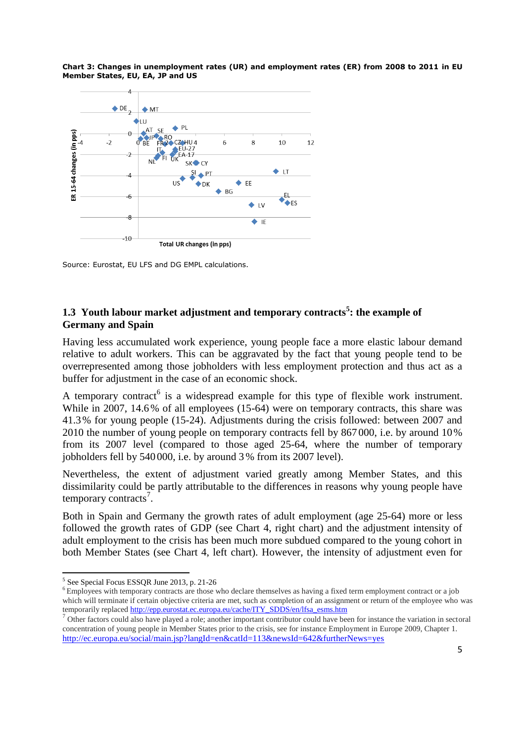**Chart 3: Changes in unemployment rates (UR) and employment rates (ER) from 2008 to 2011 in EU Member States, EU, EA, JP and US**



Source: Eurostat, EU LFS and DG EMPL calculations.

# **1.3 Youth labour market adjustment and temporary contracts<sup>5</sup> : the example of Germany and Spain**

Having less accumulated work experience, young people face a more elastic labour demand relative to adult workers. This can be aggravated by the fact that young people tend to be overrepresented among those jobholders with less employment protection and thus act as a buffer for adjustment in the case of an economic shock.

A temporary contract is a widespread example for this type of flexible work instrument. While in 2007, 14.6% of all employees (15-64) were on temporary contracts, this share was 41.3% for young people (15-24). Adjustments during the crisis followed: between 2007 and 2010 the number of young people on temporary contracts fell by 867 000, i.e. by around 10% from its 2007 level (compared to those aged 25-64, where the number of temporary jobholders fell by 540 000, i.e. by around 3% from its 2007 level).

Nevertheless, the extent of adjustment varied greatly among Member States, and this dissimilarity could be partly attributable to the differences in reasons why young people have temporary contracts<sup>7</sup>.

Both in Spain and Germany the growth rates of adult employment (age 25-64) more or less followed the growth rates of GDP (see Chart 4, right chart) and the adjustment intensity of adult employment to the crisis has been much more subdued compared to the young cohort in both Member States (see Chart 4, left chart). However, the intensity of adjustment even for

<sup>&</sup>lt;sup>5</sup> See Special Focus ESSQR June 2013, p. 21-26

<sup>&</sup>lt;sup>6</sup> Employees with temporary contracts are those who declare themselves as having a fixed term employment contract or a job which will terminate if certain objective criteria are met, such as completion of an assignment or return of the employee who was temporarily replaced [http://epp.eurostat.ec.europa.eu/cache/ITY\\_SDDS/en/lfsa\\_esms.htm](http://epp.eurostat.ec.europa.eu/cache/ITY_SDDS/en/lfsa_esms.htm)

<sup>&</sup>lt;sup>7</sup> Other factors could also have played a role; another important contributor could have been for instance the variation in sectoral concentration of young people in Member States prior to the crisis, see for instance Employment in Europe 2009, Chapter 1. <http://ec.europa.eu/social/main.jsp?langId=en&catId=113&newsId=642&furtherNews=yes>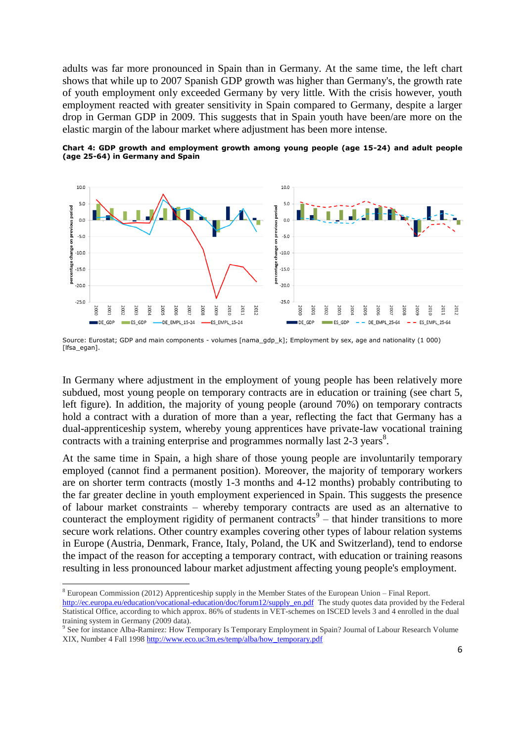adults was far more pronounced in Spain than in Germany. At the same time, the left chart shows that while up to 2007 Spanish GDP growth was higher than Germany's, the growth rate of youth employment only exceeded Germany by very little. With the crisis however, youth employment reacted with greater sensitivity in Spain compared to Germany, despite a larger drop in German GDP in 2009. This suggests that in Spain youth have been/are more on the elastic margin of the labour market where adjustment has been more intense.

**Chart 4: GDP growth and employment growth among young people (age 15-24) and adult people (age 25-64) in Germany and Spain** 



Source: Eurostat; GDP and main components - volumes [nama\_gdp\_k]; Employment by sex, age and nationality (1 000) [lfsa\_egan].

In Germany where adjustment in the employment of young people has been relatively more subdued, most young people on temporary contracts are in education or training (see chart 5, left figure). In addition, the majority of young people (around 70%) on temporary contracts hold a contract with a duration of more than a year, reflecting the fact that Germany has a dual-apprenticeship system, whereby young apprentices have private-law vocational training contracts with a training enterprise and programmes normally last  $2-3$  years<sup>8</sup>.

At the same time in Spain, a high share of those young people are involuntarily temporary employed (cannot find a permanent position). Moreover, the majority of temporary workers are on shorter term contracts (mostly 1-3 months and 4-12 months) probably contributing to the far greater decline in youth employment experienced in Spain. This suggests the presence of labour market constraints – whereby temporary contracts are used as an alternative to counteract the employment rigidity of permanent contracts<sup>9</sup> – that hinder transitions to more secure work relations. Other country examples covering other types of labour relation systems in Europe (Austria, Denmark, France, Italy, Poland, the UK and Switzerland), tend to endorse the impact of the reason for accepting a temporary contract, with education or training reasons resulting in less pronounced labour market adjustment affecting young people's employment.

<sup>8</sup> European Commission (2012) Apprenticeship supply in the Member States of the European Union – Final Report. [http://ec.europa.eu/education/vocational-education/doc/forum12/supply\\_en.pdf](http://ec.europa.eu/education/vocational-education/doc/forum12/supply_en.pdf) The study quotes data provided by the Federal Statistical Office, according to which approx. 86% of students in VET-schemes on ISCED levels 3 and 4 enrolled in the dual training system in Germany (2009 data).

<sup>9</sup> See for instance Alba-Ramirez: How Temporary Is Temporary Employment in Spain? Journal of Labour Research Volume XIX, Number 4 Fall 199[8 http://www.eco.uc3m.es/temp/alba/how\\_temporary.pdf](http://www.eco.uc3m.es/temp/alba/how_temporary.pdf)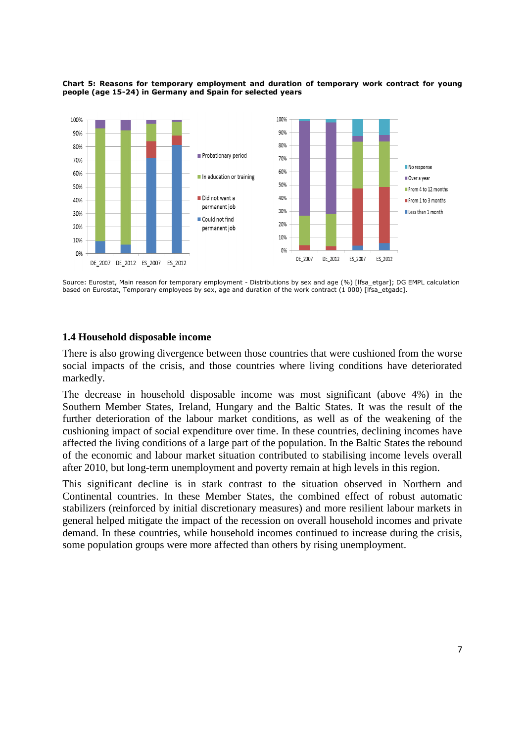

#### **Chart 5: Reasons for temporary employment and duration of temporary work contract for young people (age 15-24) in Germany and Spain for selected years**

Source: Eurostat, Main reason for temporary employment - Distributions by sex and age (%) [lfsa\_etgar]; DG EMPL calculation based on Eurostat, Temporary employees by sex, age and duration of the work contract (1 000) [Ifsa\_etgadc].

## **1.4 Household disposable income**

There is also growing divergence between those countries that were cushioned from the worse social impacts of the crisis, and those countries where living conditions have deteriorated markedly.

The decrease in household disposable income was most significant (above 4%) in the Southern Member States, Ireland, Hungary and the Baltic States. It was the result of the further deterioration of the labour market conditions, as well as of the weakening of the cushioning impact of social expenditure over time. In these countries, declining incomes have affected the living conditions of a large part of the population. In the Baltic States the rebound of the economic and labour market situation contributed to stabilising income levels overall after 2010, but long-term unemployment and poverty remain at high levels in this region.

This significant decline is in stark contrast to the situation observed in Northern and Continental countries. In these Member States, the combined effect of robust automatic stabilizers (reinforced by initial discretionary measures) and more resilient labour markets in general helped mitigate the impact of the recession on overall household incomes and private demand. In these countries, while household incomes continued to increase during the crisis, some population groups were more affected than others by rising unemployment.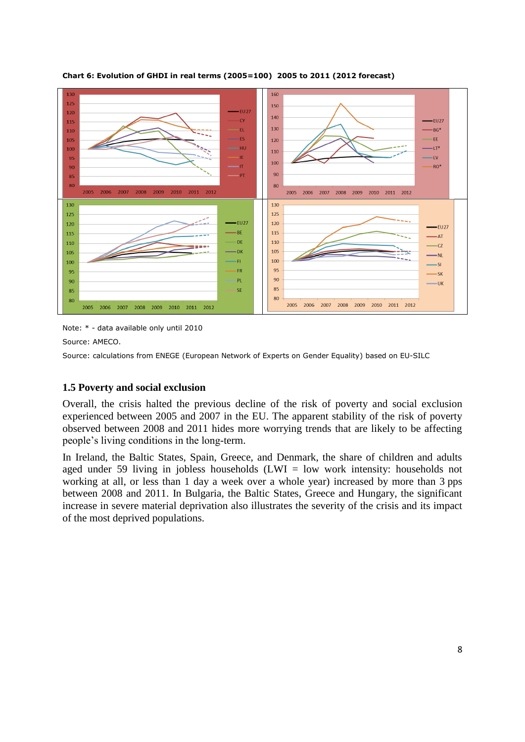

**Chart 6: Evolution of GHDI in real terms (2005=100) 2005 to 2011 (2012 forecast)**

Note: \* - data available only until 2010

Source: AMECO.

Source: calculations from ENEGE (European Network of Experts on Gender Equality) based on EU-SILC

# **1.5 Poverty and social exclusion**

Overall, the crisis halted the previous decline of the risk of poverty and social exclusion experienced between 2005 and 2007 in the EU. The apparent stability of the risk of poverty observed between 2008 and 2011 hides more worrying trends that are likely to be affecting people's living conditions in the long-term.

In Ireland, the Baltic States, Spain, Greece, and Denmark, the share of children and adults aged under 59 living in jobless households  $(LWI = low$  work intensity: households not working at all, or less than 1 day a week over a whole year) increased by more than 3 pps between 2008 and 2011. In Bulgaria, the Baltic States, Greece and Hungary, the significant increase in severe material deprivation also illustrates the severity of the crisis and its impact of the most deprived populations.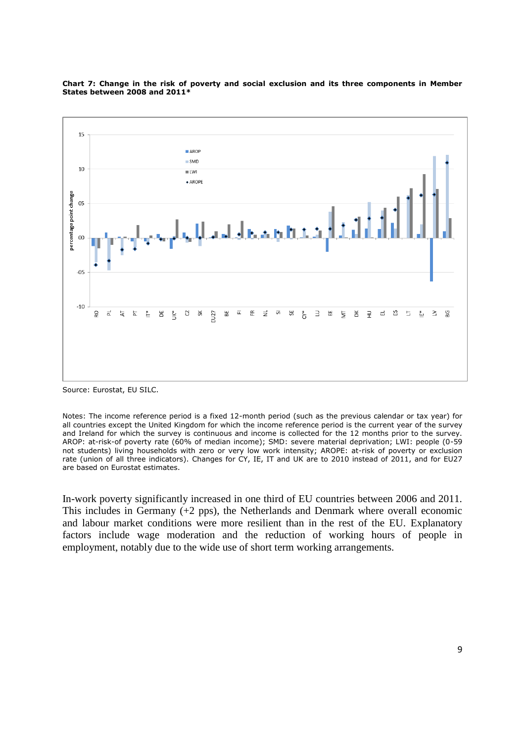

#### **Chart 7: Change in the risk of poverty and social exclusion and its three components in Member States between 2008 and 2011\***

Source: Eurostat, EU SILC.

Notes: The income reference period is a fixed 12-month period (such as the previous calendar or tax year) for all countries except the United Kingdom for which the income reference period is the current year of the survey and Ireland for which the survey is continuous and income is collected for the 12 months prior to the survey. AROP: at-risk-of poverty rate (60% of median income); SMD: severe material deprivation; LWI: people (0-59 not students) living households with zero or very low work intensity; AROPE: at-risk of poverty or exclusion rate (union of all three indicators). Changes for CY, IE, IT and UK are to 2010 instead of 2011, and for EU27 are based on Eurostat estimates.

In-work poverty significantly increased in one third of EU countries between 2006 and 2011. This includes in Germany (+2 pps), the Netherlands and Denmark where overall economic and labour market conditions were more resilient than in the rest of the EU. Explanatory factors include wage moderation and the reduction of working hours of people in employment, notably due to the wide use of short term working arrangements.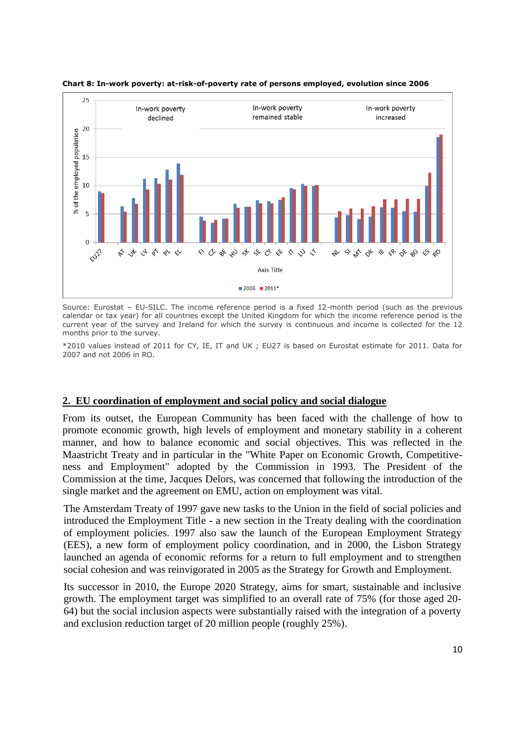

**Chart 8: In-work poverty: at-risk-of-poverty rate of persons employed, evolution since 2006**

Source: Eurostat – EU-SILC. The income reference period is a fixed 12-month period (such as the previous calendar or tax year) for all countries except the United Kingdom for which the income reference period is the current year of the survey and Ireland for which the survey is continuous and income is collected for the 12 months prior to the survey.

\*2010 values instead of 2011 for CY, IE, IT and UK ; EU27 is based on Eurostat estimate for 2011. Data for 2007 and not 2006 in RO.

#### **2. EU coordination of employment and social policy and social dialogue**

From its outset, the European Community has been faced with the challenge of how to promote economic growth, high levels of employment and monetary stability in a coherent manner, and how to balance economic and social objectives. This was reflected in the Maastricht Treaty and in particular in the "White Paper on Economic Growth, Competitiveness and Employment" adopted by the Commission in 1993. The President of the Commission at the time, Jacques Delors, was concerned that following the introduction of the single market and the agreement on EMU, action on employment was vital.

The Amsterdam Treaty of 1997 gave new tasks to the Union in the field of social policies and introduced the Employment Title - a new section in the Treaty dealing with the coordination of employment policies. 1997 also saw the launch of the European Employment Strategy (EES), a new form of employment policy coordination, and in 2000, the Lisbon Strategy launched an agenda of economic reforms for a return to full employment and to strengthen social cohesion and was reinvigorated in 2005 as the Strategy for Growth and Employment.

Its successor in 2010, the Europe 2020 Strategy, aims for smart, sustainable and inclusive growth. The employment target was simplified to an overall rate of 75% (for those aged 20- 64) but the social inclusion aspects were substantially raised with the integration of a poverty and exclusion reduction target of 20 million people (roughly 25%).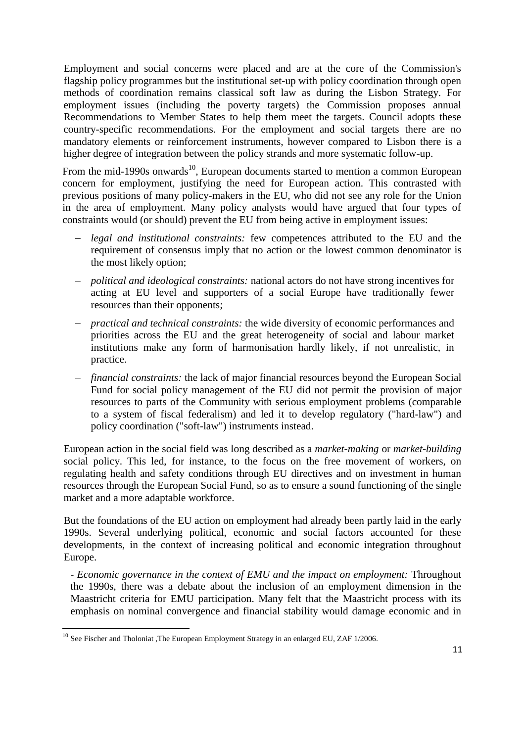Employment and social concerns were placed and are at the core of the Commission's flagship policy programmes but the institutional set-up with policy coordination through open methods of coordination remains classical soft law as during the Lisbon Strategy. For employment issues (including the poverty targets) the Commission proposes annual Recommendations to Member States to help them meet the targets. Council adopts these country-specific recommendations. For the employment and social targets there are no mandatory elements or reinforcement instruments, however compared to Lisbon there is a higher degree of integration between the policy strands and more systematic follow-up.

From the mid-1990s onwards<sup>10</sup>, European documents started to mention a common European concern for employment, justifying the need for European action. This contrasted with previous positions of many policy-makers in the EU, who did not see any role for the Union in the area of employment. Many policy analysts would have argued that four types of constraints would (or should) prevent the EU from being active in employment issues:

- *legal and institutional constraints:* few competences attributed to the EU and the requirement of consensus imply that no action or the lowest common denominator is the most likely option;
- *political and ideological constraints:* national actors do not have strong incentives for acting at EU level and supporters of a social Europe have traditionally fewer resources than their opponents;
- *practical and technical constraints:* the wide diversity of economic performances and priorities across the EU and the great heterogeneity of social and labour market institutions make any form of harmonisation hardly likely, if not unrealistic, in practice.
- *financial constraints:* the lack of major financial resources beyond the European Social Fund for social policy management of the EU did not permit the provision of major resources to parts of the Community with serious employment problems (comparable to a system of fiscal federalism) and led it to develop regulatory ("hard-law") and policy coordination ("soft-law") instruments instead.

European action in the social field was long described as a *market-making* or *market-building* social policy. This led, for instance, to the focus on the free movement of workers, on regulating health and safety conditions through EU directives and on investment in human resources through the European Social Fund, so as to ensure a sound functioning of the single market and a more adaptable workforce.

But the foundations of the EU action on employment had already been partly laid in the early 1990s. Several underlying political, economic and social factors accounted for these developments, in the context of increasing political and economic integration throughout Europe.

*- Economic governance in the context of EMU and the impact on employment:* Throughout the 1990s, there was a debate about the inclusion of an employment dimension in the Maastricht criteria for EMU participation. Many felt that the Maastricht process with its emphasis on nominal convergence and financial stability would damage economic and in

 $10$  See Fischer and Tholoniat ,The European Employment Strategy in an enlarged EU, ZAF 1/2006.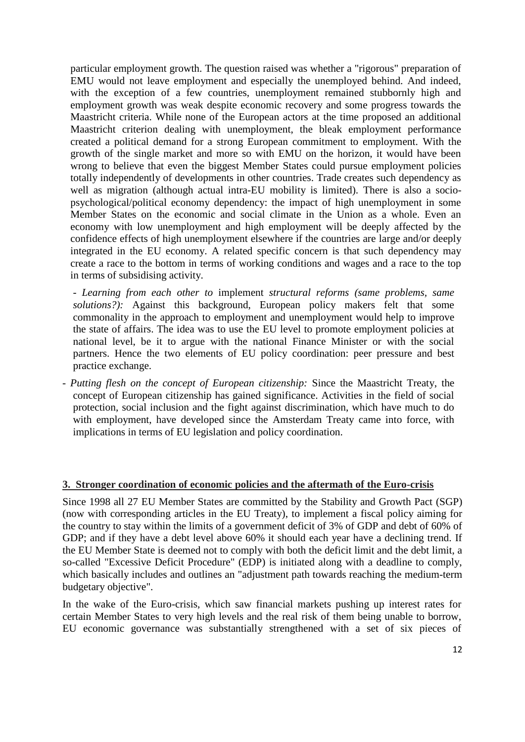particular employment growth. The question raised was whether a "rigorous" preparation of EMU would not leave employment and especially the unemployed behind. And indeed, with the exception of a few countries, unemployment remained stubbornly high and employment growth was weak despite economic recovery and some progress towards the Maastricht criteria. While none of the European actors at the time proposed an additional Maastricht criterion dealing with unemployment, the bleak employment performance created a political demand for a strong European commitment to employment*.* With the growth of the single market and more so with EMU on the horizon, it would have been wrong to believe that even the biggest Member States could pursue employment policies totally independently of developments in other countries. Trade creates such dependency as well as migration (although actual intra-EU mobility is limited). There is also a sociopsychological/political economy dependency: the impact of high unemployment in some Member States on the economic and social climate in the Union as a whole. Even an economy with low unemployment and high employment will be deeply affected by the confidence effects of high unemployment elsewhere if the countries are large and/or deeply integrated in the EU economy. A related specific concern is that such dependency may create a race to the bottom in terms of working conditions and wages and a race to the top in terms of subsidising activity.

- *Learning from each other to* implement *structural reforms (same problems, same solutions?):* Against this background, European policy makers felt that some commonality in the approach to employment and unemployment would help to improve the state of affairs. The idea was to use the EU level to promote employment policies at national level, be it to argue with the national Finance Minister or with the social partners. Hence the two elements of EU policy coordination: peer pressure and best practice exchange.

*- Putting flesh on the concept of European citizenship:* Since the Maastricht Treaty, the concept of European citizenship has gained significance. Activities in the field of social protection, social inclusion and the fight against discrimination, which have much to do with employment, have developed since the Amsterdam Treaty came into force, with implications in terms of EU legislation and policy coordination.

## **3. Stronger coordination of economic policies and the aftermath of the Euro-crisis**

Since 1998 all 27 EU Member States are committed by the [Stability and Growth Pact](http://en.wikipedia.org/wiki/Stability_and_Growth_Pact) (SGP) (now with corresponding articles in the EU Treaty), to implement a fiscal policy aiming for the country to stay within the limits of a government deficit of 3% of GDP and debt of 60% of GDP; and if they have a debt level above 60% it should each year have a declining trend. If the EU Member State is deemed not to comply with both the deficit limit and the debt limit, a so-called "Excessive Deficit Procedure" (EDP) is initiated along with a deadline to comply, which basically includes and outlines an "adjustment path towards reaching the medium-term budgetary objective".

In the wake of the Euro-crisis, which saw financial markets pushing up interest rates for certain Member States to very high levels and the real risk of them being unable to borrow, EU economic governance was substantially strengthened with a set of six pieces of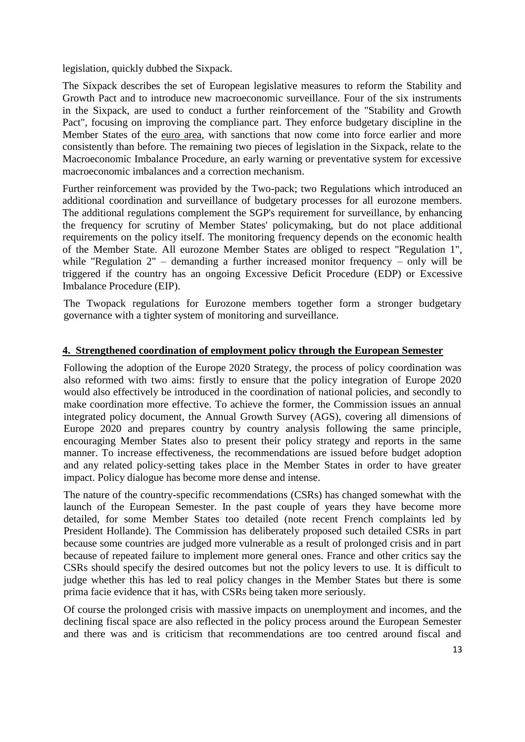legislation, quickly dubbed the Sixpack.

The Sixpack describes the set of European legislative measures to reform the [Stability and](http://en.wikipedia.org/wiki/Stability_and_Growth_Pact)  [Growth Pact](http://en.wikipedia.org/wiki/Stability_and_Growth_Pact) and to introduce new macroeconomic surveillance. Four of the six instruments in the Sixpack, are used to conduct a further reinforcement of the "Stability and Growth Pact", focusing on improving the compliance part. They enforce budgetary discipline in the Member States of the [euro area,](http://en.wikipedia.org/wiki/Euro_area) with sanctions that now come into force earlier and more consistently than before. The remaining two pieces of legislation in the Sixpack, relate to the [Macroeconomic Imbalance Procedure,](http://en.wikipedia.org/wiki/Macroeconomic_Imbalance_Procedure) an early warning or preventative system for excessive macroeconomic imbalances and a correction mechanism.

Further reinforcement was provided by the Two-pack; two Regulations which introduced an additional coordination and surveillance of budgetary processes for all eurozone members. The additional regulations complement the SGP's requirement for surveillance, by enhancing the frequency for scrutiny of Member States' policymaking, but do not place additional requirements on the policy itself. The monitoring frequency depends on the economic health of the Member State. All eurozone Member States are obliged to respect "Regulation 1", while "Regulation 2" – demanding a further increased monitor frequency – only will be triggered if the country has an ongoing Excessive Deficit Procedure (EDP) or [Excessive](http://en.wikipedia.org/wiki/Excessive_Imbalance_Procedure)  [Imbalance Procedure \(EIP\).](http://en.wikipedia.org/wiki/Excessive_Imbalance_Procedure)

The Twopack regulations for Eurozone members together form a stronger budgetary governance with a tighter system of monitoring and surveillance.

## **4. Strengthened coordination of employment policy through the European Semester**

Following the adoption of the Europe 2020 Strategy, the process of policy coordination was also reformed with two aims: firstly to ensure that the policy integration of Europe 2020 would also effectively be introduced in the coordination of national policies, and secondly to make coordination more effective. To achieve the former, the Commission issues an annual integrated policy document, the Annual Growth Survey (AGS), covering all dimensions of Europe 2020 and prepares country by country analysis following the same principle, encouraging Member States also to present their policy strategy and reports in the same manner. To increase effectiveness, the recommendations are issued before budget adoption and any related policy-setting takes place in the Member States in order to have greater impact. Policy dialogue has become more dense and intense.

The nature of the country-specific recommendations (CSRs) has changed somewhat with the launch of the European Semester. In the past couple of years they have become more detailed, for some Member States too detailed (note recent French complaints led by President Hollande). The Commission has deliberately proposed such detailed CSRs in part because some countries are judged more vulnerable as a result of prolonged crisis and in part because of repeated failure to implement more general ones. France and other critics say the CSRs should specify the desired outcomes but not the policy levers to use. It is difficult to judge whether this has led to real policy changes in the Member States but there is some prima facie evidence that it has, with CSRs being taken more seriously.

Of course the prolonged crisis with massive impacts on unemployment and incomes, and the declining fiscal space are also reflected in the policy process around the European Semester and there was and is criticism that recommendations are too centred around fiscal and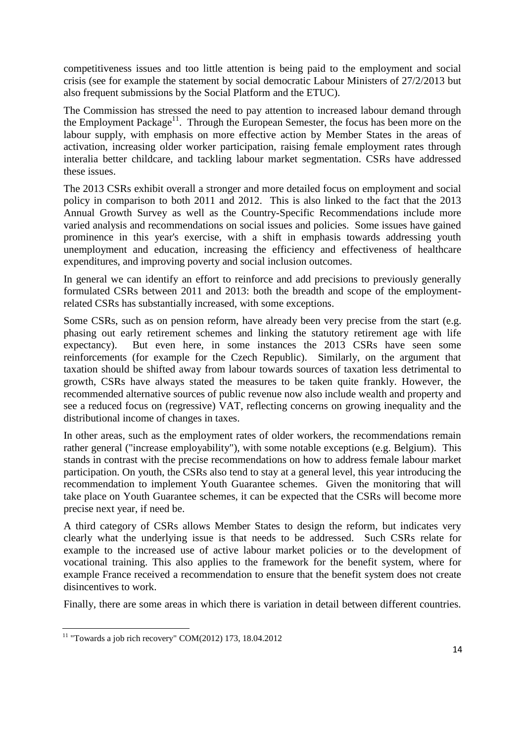competitiveness issues and too little attention is being paid to the employment and social crisis (see for example the statement by social democratic Labour Ministers of 27/2/2013 but also frequent submissions by the Social Platform and the ETUC).

The Commission has stressed the need to pay attention to increased labour demand through the Employment Package<sup>11</sup>. Through the European Semester, the focus has been more on the labour supply, with emphasis on more effective action by Member States in the areas of activation, increasing older worker participation, raising female employment rates through interalia better childcare, and tackling labour market segmentation. CSRs have addressed these issues.

The 2013 CSRs exhibit overall a stronger and more detailed focus on employment and social policy in comparison to both 2011 and 2012. This is also linked to the fact that the 2013 Annual Growth Survey as well as the Country-Specific Recommendations include more varied analysis and recommendations on social issues and policies. Some issues have gained prominence in this year's exercise, with a shift in emphasis towards addressing youth unemployment and education, increasing the efficiency and effectiveness of healthcare expenditures, and improving poverty and social inclusion outcomes.

In general we can identify an effort to reinforce and add precisions to previously generally formulated CSRs between 2011 and 2013: both the breadth and scope of the employmentrelated CSRs has substantially increased, with some exceptions.

Some CSRs, such as on pension reform, have already been very precise from the start (e.g. phasing out early retirement schemes and linking the statutory retirement age with life expectancy). But even here, in some instances the 2013 CSRs have seen some reinforcements (for example for the Czech Republic). Similarly, on the argument that taxation should be shifted away from labour towards sources of taxation less detrimental to growth, CSRs have always stated the measures to be taken quite frankly. However, the recommended alternative sources of public revenue now also include wealth and property and see a reduced focus on (regressive) VAT, reflecting concerns on growing inequality and the distributional income of changes in taxes.

In other areas, such as the employment rates of older workers, the recommendations remain rather general ("increase employability"), with some notable exceptions (e.g. Belgium). This stands in contrast with the precise recommendations on how to address female labour market participation. On youth, the CSRs also tend to stay at a general level, this year introducing the recommendation to implement Youth Guarantee schemes. Given the monitoring that will take place on Youth Guarantee schemes, it can be expected that the CSRs will become more precise next year, if need be.

A third category of CSRs allows Member States to design the reform, but indicates very clearly what the underlying issue is that needs to be addressed. Such CSRs relate for example to the increased use of active labour market policies or to the development of vocational training. This also applies to the framework for the benefit system, where for example France received a recommendation to ensure that the benefit system does not create disincentives to work.

Finally, there are some areas in which there is variation in detail between different countries.

 $11$  "Towards a job rich recovery" COM(2012) 173, 18.04.2012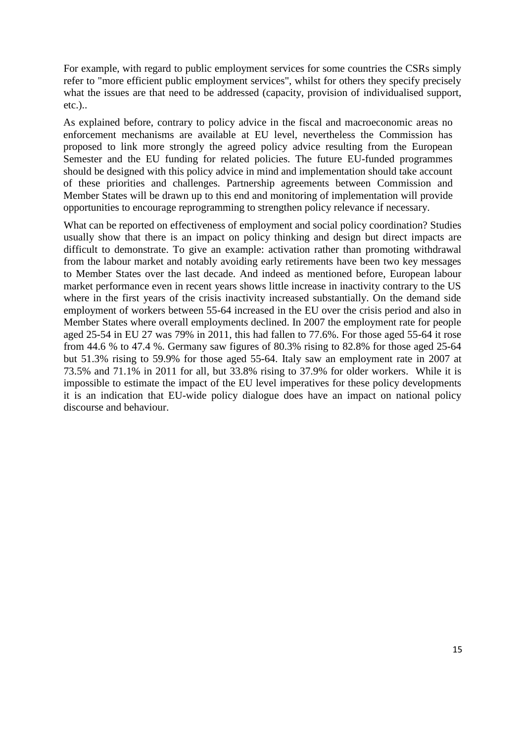For example, with regard to public employment services for some countries the CSRs simply refer to "more efficient public employment services", whilst for others they specify precisely what the issues are that need to be addressed (capacity, provision of individualised support, etc.)..

As explained before, contrary to policy advice in the fiscal and macroeconomic areas no enforcement mechanisms are available at EU level, nevertheless the Commission has proposed to link more strongly the agreed policy advice resulting from the European Semester and the EU funding for related policies. The future EU-funded programmes should be designed with this policy advice in mind and implementation should take account of these priorities and challenges. Partnership agreements between Commission and Member States will be drawn up to this end and monitoring of implementation will provide opportunities to encourage reprogramming to strengthen policy relevance if necessary.

What can be reported on effectiveness of employment and social policy coordination? Studies usually show that there is an impact on policy thinking and design but direct impacts are difficult to demonstrate. To give an example: activation rather than promoting withdrawal from the labour market and notably avoiding early retirements have been two key messages to Member States over the last decade. And indeed as mentioned before, European labour market performance even in recent years shows little increase in inactivity contrary to the US where in the first years of the crisis inactivity increased substantially. On the demand side employment of workers between 55-64 increased in the EU over the crisis period and also in Member States where overall employments declined. In 2007 the employment rate for people aged 25-54 in EU 27 was 79% in 2011, this had fallen to 77.6%. For those aged 55-64 it rose from 44.6 % to 47.4 %. Germany saw figures of 80.3% rising to 82.8% for those aged 25-64 but 51.3% rising to 59.9% for those aged 55-64. Italy saw an employment rate in 2007 at 73.5% and 71.1% in 2011 for all, but 33.8% rising to 37.9% for older workers. While it is impossible to estimate the impact of the EU level imperatives for these policy developments it is an indication that EU-wide policy dialogue does have an impact on national policy discourse and behaviour.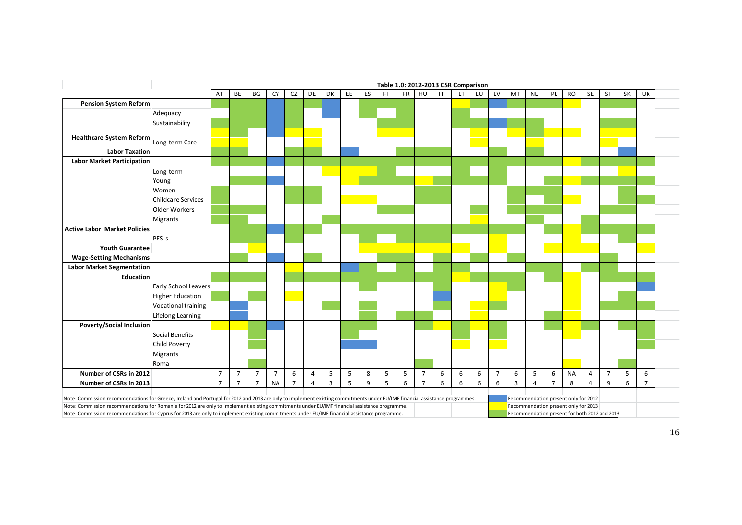|                                                                                                                                                                                                                                                                                                                               |                             |                |                |                |                |                |                |                |    |    | Table 1.0: 2012-2013 CSR Comparison |    |                |    |                      |    |                |                |                |                |                                                                              |                |                |    |                |  |
|-------------------------------------------------------------------------------------------------------------------------------------------------------------------------------------------------------------------------------------------------------------------------------------------------------------------------------|-----------------------------|----------------|----------------|----------------|----------------|----------------|----------------|----------------|----|----|-------------------------------------|----|----------------|----|----------------------|----|----------------|----------------|----------------|----------------|------------------------------------------------------------------------------|----------------|----------------|----|----------------|--|
|                                                                                                                                                                                                                                                                                                                               |                             | AT             | BE             | BG             | CY             | CZ             | DE             | DK             | EE | ES | <b>FI</b>                           | FR | HU             | IT | $\mathsf{LT}\xspace$ | LU | LV             | MT             | <b>NL</b>      | PL             | <b>RO</b>                                                                    | SE             | SI             | SK | UK             |  |
| <b>Pension System Reform</b>                                                                                                                                                                                                                                                                                                  |                             |                |                |                |                |                |                |                |    |    |                                     |    |                |    |                      |    |                |                |                |                |                                                                              |                |                |    |                |  |
| Adequacy                                                                                                                                                                                                                                                                                                                      |                             |                |                |                |                |                |                |                |    |    |                                     |    |                |    |                      |    |                |                |                |                |                                                                              |                |                |    |                |  |
| Sustainability                                                                                                                                                                                                                                                                                                                |                             |                |                |                |                |                |                |                |    |    |                                     |    |                |    |                      |    |                |                |                |                |                                                                              |                |                |    |                |  |
| Healthcare System Reform Long-term Care                                                                                                                                                                                                                                                                                       |                             |                |                |                |                |                |                |                |    |    |                                     |    |                |    |                      |    |                |                |                |                |                                                                              |                |                |    |                |  |
| <b>Labor Taxation</b>                                                                                                                                                                                                                                                                                                         |                             |                |                |                |                |                |                |                |    |    |                                     |    |                |    |                      |    |                |                |                |                |                                                                              |                |                |    |                |  |
| <b>Labor Market Participation</b>                                                                                                                                                                                                                                                                                             |                             |                |                |                |                |                |                |                |    |    |                                     |    |                |    |                      |    |                |                |                |                |                                                                              |                |                |    |                |  |
| Long-term                                                                                                                                                                                                                                                                                                                     |                             |                |                |                |                |                |                |                |    |    |                                     |    |                |    |                      |    |                |                |                |                |                                                                              |                |                |    |                |  |
| Young                                                                                                                                                                                                                                                                                                                         |                             |                |                |                |                |                |                |                |    |    |                                     |    |                |    |                      |    |                |                |                |                |                                                                              |                |                |    |                |  |
| Women                                                                                                                                                                                                                                                                                                                         |                             |                |                |                |                |                |                |                |    |    |                                     |    |                |    |                      |    |                |                |                |                |                                                                              |                |                |    |                |  |
| <b>Childcare Services</b>                                                                                                                                                                                                                                                                                                     |                             |                |                |                |                |                |                |                |    |    |                                     |    |                |    |                      |    |                |                |                |                |                                                                              |                |                |    |                |  |
| Older Workers                                                                                                                                                                                                                                                                                                                 |                             |                |                |                |                |                |                |                |    |    |                                     |    |                |    |                      |    |                |                |                |                |                                                                              |                |                |    |                |  |
| Migrants                                                                                                                                                                                                                                                                                                                      |                             |                |                |                |                |                |                |                |    |    |                                     |    |                |    |                      |    |                |                |                |                |                                                                              |                |                |    |                |  |
| <b>Active Labor Market Policies</b>                                                                                                                                                                                                                                                                                           |                             |                |                |                |                |                |                |                |    |    |                                     |    |                |    |                      |    |                |                |                |                |                                                                              |                |                |    |                |  |
| PES-s                                                                                                                                                                                                                                                                                                                         |                             |                |                |                |                |                |                |                |    |    |                                     |    |                |    |                      |    |                |                |                |                |                                                                              |                |                |    |                |  |
| <b>Youth Guarantee</b>                                                                                                                                                                                                                                                                                                        |                             |                |                |                |                |                |                |                |    |    |                                     |    |                |    |                      |    |                |                |                |                |                                                                              |                |                |    |                |  |
| <b>Wage-Setting Mechanisms</b>                                                                                                                                                                                                                                                                                                |                             |                |                |                |                |                |                |                |    |    |                                     |    |                |    |                      |    |                |                |                |                |                                                                              |                |                |    |                |  |
| <b>Labor Market Segmentation</b>                                                                                                                                                                                                                                                                                              |                             |                |                |                |                |                |                |                |    |    |                                     |    |                |    |                      |    |                |                |                |                |                                                                              |                |                |    |                |  |
| Education                                                                                                                                                                                                                                                                                                                     |                             |                |                |                |                |                |                |                |    |    |                                     |    |                |    |                      |    |                |                |                |                |                                                                              |                |                |    |                |  |
|                                                                                                                                                                                                                                                                                                                               | <b>Early School Leavers</b> |                |                |                |                |                |                |                |    |    |                                     |    |                |    |                      |    |                |                |                |                |                                                                              |                |                |    |                |  |
| <b>Higher Education</b>                                                                                                                                                                                                                                                                                                       |                             |                |                |                |                |                |                |                |    |    |                                     |    |                |    |                      |    |                |                |                |                |                                                                              |                |                |    |                |  |
| Vocational training                                                                                                                                                                                                                                                                                                           |                             |                |                |                |                |                |                |                |    |    |                                     |    |                |    |                      |    |                |                |                |                |                                                                              |                |                |    |                |  |
| Lifelong Learning                                                                                                                                                                                                                                                                                                             |                             |                |                |                |                |                |                |                |    |    |                                     |    |                |    |                      |    |                |                |                |                |                                                                              |                |                |    |                |  |
| <b>Poverty/Social Inclusion</b>                                                                                                                                                                                                                                                                                               |                             |                |                |                |                |                |                |                |    |    |                                     |    |                |    |                      |    |                |                |                |                |                                                                              |                |                |    |                |  |
| <b>Social Benefits</b>                                                                                                                                                                                                                                                                                                        |                             |                |                |                |                |                |                |                |    |    |                                     |    |                |    |                      |    |                |                |                |                |                                                                              |                |                |    |                |  |
| Child Poverty                                                                                                                                                                                                                                                                                                                 |                             |                |                |                |                |                |                |                |    |    |                                     |    |                |    |                      |    |                |                |                |                |                                                                              |                |                |    |                |  |
| <b>Migrants</b>                                                                                                                                                                                                                                                                                                               |                             |                |                |                |                |                |                |                |    |    |                                     |    |                |    |                      |    |                |                |                |                |                                                                              |                |                |    |                |  |
| Roma                                                                                                                                                                                                                                                                                                                          |                             |                |                |                |                |                |                |                |    |    |                                     |    |                |    |                      |    |                |                |                |                |                                                                              |                |                |    |                |  |
| Number of CSRs in 2012                                                                                                                                                                                                                                                                                                        |                             | $\overline{7}$ | $\overline{7}$ | $\overline{7}$ | $\overline{7}$ | 6              | $\overline{4}$ | 5              | 5  | 8  | 5                                   | 5  | $\overline{7}$ | 6  | 6                    | 6  | $\overline{7}$ | 6              | 5              | 6              | <b>NA</b>                                                                    | $\overline{4}$ | $\overline{7}$ | 5  | 6              |  |
| Number of CSRs in 2013                                                                                                                                                                                                                                                                                                        |                             | $\overline{7}$ | $\overline{7}$ | $\overline{7}$ | <b>NA</b>      | $\overline{7}$ | $\overline{4}$ | $\overline{3}$ | 5  | 9  | 5                                   | 6  | $\overline{7}$ | 6  | 6                    | 6  | 6              | $\overline{3}$ | $\overline{4}$ | $\overline{7}$ | 8                                                                            | $\overline{4}$ | 9              | 6  | $\overline{7}$ |  |
|                                                                                                                                                                                                                                                                                                                               |                             |                |                |                |                |                |                |                |    |    |                                     |    |                |    |                      |    |                |                |                |                |                                                                              |                |                |    |                |  |
| Note: Commission recommendations for Greece, Ireland and Portugal for 2012 and 2013 are only to implement existing commitments under EU/IMF financial assistance programmes.<br>Note: Commission recommendations for Romania for 2012 are only to implement existing commitments under EU/IMF financial assistance programme. |                             |                |                |                |                |                |                |                |    |    |                                     |    |                |    |                      |    |                |                |                |                | Recommendation present only for 2012<br>Recommendation present only for 2013 |                |                |    |                |  |
| Note: Commission recommendations for Cyprus for 2013 are only to implement existing commitments under EU/IMF financial assistance programme.                                                                                                                                                                                  |                             |                |                |                |                |                |                |                |    |    |                                     |    |                |    |                      |    |                |                |                |                | Recommendation present for both 2012 and 2013                                |                |                |    |                |  |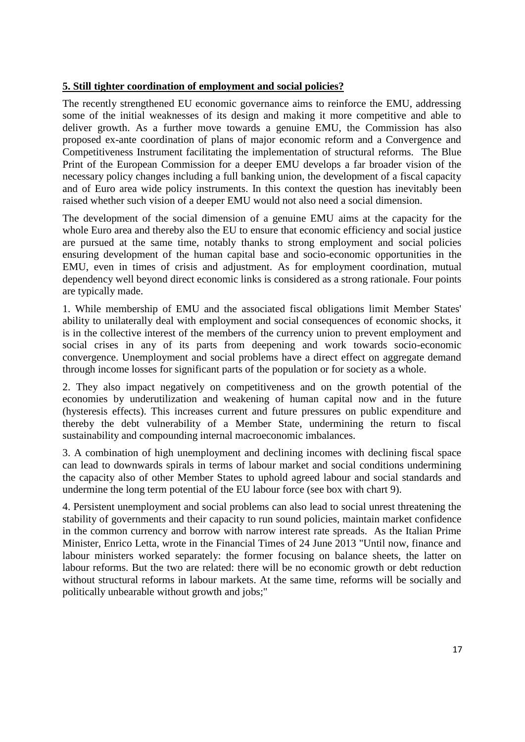# **5. Still tighter coordination of employment and social policies?**

The recently strengthened EU economic governance aims to reinforce the EMU, addressing some of the initial weaknesses of its design and making it more competitive and able to deliver growth. As a further move towards a genuine EMU, the Commission has also proposed ex-ante coordination of plans of major economic reform and a Convergence and Competitiveness Instrument facilitating the implementation of structural reforms. The Blue Print of the European Commission for a deeper EMU develops a far broader vision of the necessary policy changes including a full banking union, the development of a fiscal capacity and of Euro area wide policy instruments. In this context the question has inevitably been raised whether such vision of a deeper EMU would not also need a social dimension.

The development of the social dimension of a genuine EMU aims at the capacity for the whole Euro area and thereby also the EU to ensure that economic efficiency and social justice are pursued at the same time, notably thanks to strong employment and social policies ensuring development of the human capital base and socio-economic opportunities in the EMU, even in times of crisis and adjustment. As for employment coordination, mutual dependency well beyond direct economic links is considered as a strong rationale. Four points are typically made.

1. While membership of EMU and the associated fiscal obligations limit Member States' ability to unilaterally deal with employment and social consequences of economic shocks, it is in the collective interest of the members of the currency union to prevent employment and social crises in any of its parts from deepening and work towards socio-economic convergence. Unemployment and social problems have a direct effect on aggregate demand through income losses for significant parts of the population or for society as a whole.

2. They also impact negatively on competitiveness and on the growth potential of the economies by underutilization and weakening of human capital now and in the future (hysteresis effects). This increases current and future pressures on public expenditure and thereby the debt vulnerability of a Member State, undermining the return to fiscal sustainability and compounding internal macroeconomic imbalances.

3. A combination of high unemployment and declining incomes with declining fiscal space can lead to downwards spirals in terms of labour market and social conditions undermining the capacity also of other Member States to uphold agreed labour and social standards and undermine the long term potential of the EU labour force (see box with chart 9).

4. Persistent unemployment and social problems can also lead to social unrest threatening the stability of governments and their capacity to run sound policies, maintain market confidence in the common currency and borrow with narrow interest rate spreads. As the Italian Prime Minister, Enrico Letta, wrote in the Financial Times of 24 June 2013 "Until now, finance and labour ministers worked separately: the former focusing on balance sheets, the latter on labour reforms. But the two are related: there will be no economic growth or debt reduction without structural reforms in labour markets. At the same time, reforms will be socially and politically unbearable without growth and jobs;"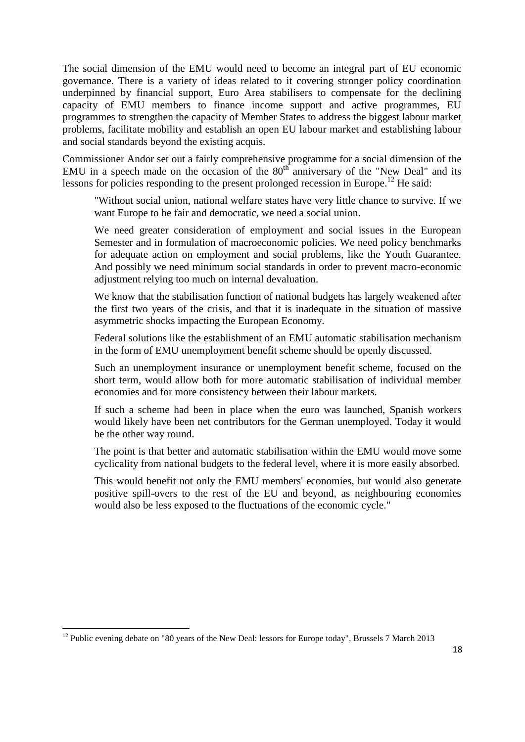The social dimension of the EMU would need to become an integral part of EU economic governance. There is a variety of ideas related to it covering stronger policy coordination underpinned by financial support, Euro Area stabilisers to compensate for the declining capacity of EMU members to finance income support and active programmes, EU programmes to strengthen the capacity of Member States to address the biggest labour market problems, facilitate mobility and establish an open EU labour market and establishing labour and social standards beyond the existing acquis.

Commissioner Andor set out a fairly comprehensive programme for a social dimension of the EMU in a speech made on the occasion of the  $80<sup>th</sup>$  anniversary of the "New Deal" and its lessons for policies responding to the present prolonged recession in Europe.<sup>12</sup> He said:

"Without social union, national welfare states have very little chance to survive. If we want Europe to be fair and democratic, we need a social union.

We need greater consideration of employment and social issues in the European Semester and in formulation of macroeconomic policies. We need policy benchmarks for adequate action on employment and social problems, like the Youth Guarantee. And possibly we need minimum social standards in order to prevent macro-economic adjustment relying too much on internal devaluation.

We know that the stabilisation function of national budgets has largely weakened after the first two years of the crisis, and that it is inadequate in the situation of massive asymmetric shocks impacting the European Economy.

Federal solutions like the establishment of an EMU automatic stabilisation mechanism in the form of EMU unemployment benefit scheme should be openly discussed.

Such an unemployment insurance or unemployment benefit scheme, focused on the short term, would allow both for more automatic stabilisation of individual member economies and for more consistency between their labour markets.

If such a scheme had been in place when the euro was launched, Spanish workers would likely have been net contributors for the German unemployed. Today it would be the other way round.

The point is that better and automatic stabilisation within the EMU would move some cyclicality from national budgets to the federal level, where it is more easily absorbed.

This would benefit not only the EMU members' economies, but would also generate positive spill-overs to the rest of the EU and beyond, as neighbouring economies would also be less exposed to the fluctuations of the economic cycle."

 $12$  Public evening debate on "80 years of the New Deal: lessors for Europe today", Brussels 7 March 2013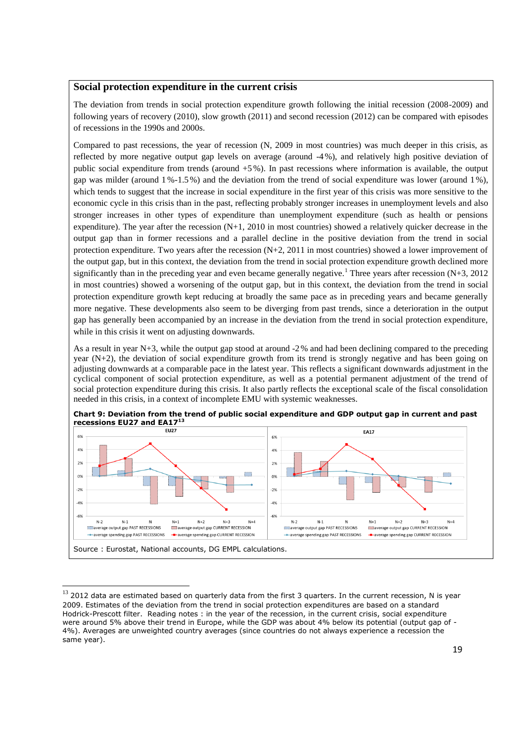#### **Social protection expenditure in the current crisis**

The deviation from trends in social protection expenditure growth following the initial recession (2008-2009) and following years of recovery (2010), slow growth (2011) and second recession (2012) can be compared with episodes of recessions in the 1990s and 2000s.

Compared to past recessions, the year of recession (N, 2009 in most countries) was much deeper in this crisis, as reflected by more negative output gap levels on average (around -4%), and relatively high positive deviation of public social expenditure from trends (around +5 %). In past recessions where information is available, the output gap was milder (around 1%-1.5%) and the deviation from the trend of social expenditure was lower (around 1%), which tends to suggest that the increase in social expenditure in the first year of this crisis was more sensitive to the economic cycle in this crisis than in the past, reflecting probably stronger increases in unemployment levels and also stronger increases in other types of expenditure than unemployment expenditure (such as health or pensions expenditure). The year after the recession  $(N+1, 2010$  in most countries) showed a relatively quicker decrease in the output gap than in former recessions and a parallel decline in the positive deviation from the trend in social protection expenditure. Two years after the recession (N+2, 2011 in most countries) showed a lower improvement of the output gap, but in this context, the deviation from the trend in social protection expenditure growth declined more significantly than in the preceding year and even became generally negative.<sup>1</sup> Three years after recession (N+3, 2012) in most countries) showed a worsening of the output gap, but in this context, the deviation from the trend in social protection expenditure growth kept reducing at broadly the same pace as in preceding years and became generally more negative. These developments also seem to be diverging from past trends, since a deterioration in the output gap has generally been accompanied by an increase in the deviation from the trend in social protection expenditure, while in this crisis it went on adjusting downwards.

As a result in year N+3, while the output gap stood at around -2% and had been declining compared to the preceding year (N+2), the deviation of social expenditure growth from its trend is strongly negative and has been going on adjusting downwards at a comparable pace in the latest year. This reflects a significant downwards adjustment in the cyclical component of social protection expenditure, as well as a potential permanent adjustment of the trend of social protection expenditure during this crisis. It also partly reflects the exceptional scale of the fiscal consolidation needed in this crisis, in a context of incomplete EMU with systemic weaknesses.



**Chart 9: Deviation from the trend of public social expenditure and GDP output gap in current and past** 

 $^{13}$  2012 data are estimated based on quarterly data from the first 3 quarters. In the current recession, N is year 2009. Estimates of the deviation from the trend in social protection expenditures are based on a standard Hodrick-Prescott filter. Reading notes : in the year of the recession, in the current crisis, social expenditure were around 5% above their trend in Europe, while the GDP was about 4% below its potential (output gap of - 4%). Averages are unweighted country averages (since countries do not always experience a recession the same year).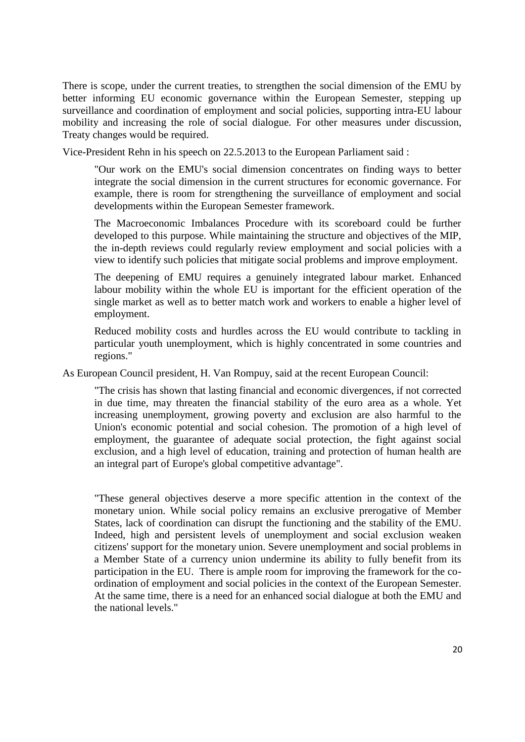There is scope, under the current treaties, to strengthen the social dimension of the EMU by better informing EU economic governance within the European Semester, stepping up surveillance and coordination of employment and social policies, supporting intra-EU labour mobility and increasing the role of social dialogue. For other measures under discussion, Treaty changes would be required.

Vice-President Rehn in his speech on 22.5.2013 to the European Parliament said :

"Our work on the EMU's social dimension concentrates on finding ways to better integrate the social dimension in the current structures for economic governance. For example, there is room for strengthening the surveillance of employment and social developments within the European Semester framework.

The Macroeconomic Imbalances Procedure with its scoreboard could be further developed to this purpose. While maintaining the structure and objectives of the MIP, the in-depth reviews could regularly review employment and social policies with a view to identify such policies that mitigate social problems and improve employment.

The deepening of EMU requires a genuinely integrated labour market. Enhanced labour mobility within the whole EU is important for the efficient operation of the single market as well as to better match work and workers to enable a higher level of employment.

Reduced mobility costs and hurdles across the EU would contribute to tackling in particular youth unemployment, which is highly concentrated in some countries and regions."

As European Council president, H. Van Rompuy, said at the recent European Council:

"The crisis has shown that lasting financial and economic divergences, if not corrected in due time, may threaten the financial stability of the euro area as a whole. Yet increasing unemployment, growing poverty and exclusion are also harmful to the Union's economic potential and social cohesion. The promotion of a high level of employment, the guarantee of adequate social protection, the fight against social exclusion, and a high level of education, training and protection of human health are an integral part of Europe's global competitive advantage".

"These general objectives deserve a more specific attention in the context of the monetary union. While social policy remains an exclusive prerogative of Member States, lack of coordination can disrupt the functioning and the stability of the EMU. Indeed, high and persistent levels of unemployment and social exclusion weaken citizens' support for the monetary union. Severe unemployment and social problems in a Member State of a currency union undermine its ability to fully benefit from its participation in the EU. There is ample room for improving the framework for the coordination of employment and social policies in the context of the European Semester. At the same time, there is a need for an enhanced social dialogue at both the EMU and the national levels."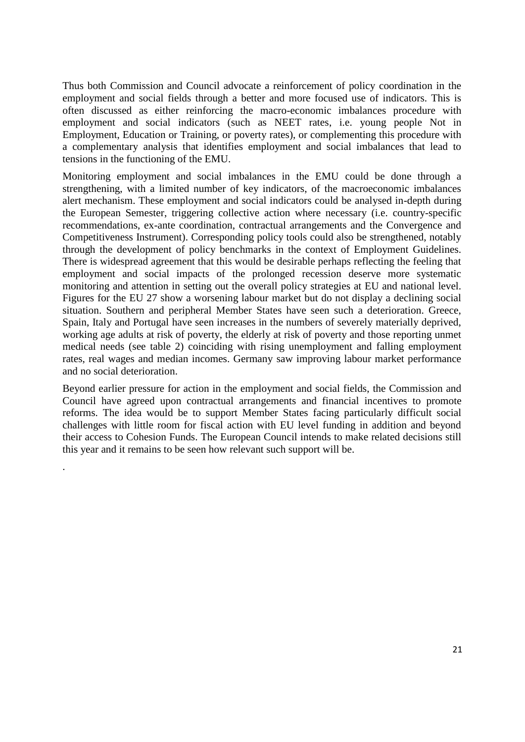Thus both Commission and Council advocate a reinforcement of policy coordination in the employment and social fields through a better and more focused use of indicators. This is often discussed as either reinforcing the macro-economic imbalances procedure with employment and social indicators (such as NEET rates, i.e. young people Not in Employment, Education or Training, or poverty rates), or complementing this procedure with a complementary analysis that identifies employment and social imbalances that lead to tensions in the functioning of the EMU.

Monitoring employment and social imbalances in the EMU could be done through a strengthening, with a limited number of key indicators, of the macroeconomic imbalances alert mechanism. These employment and social indicators could be analysed in-depth during the European Semester, triggering collective action where necessary (i.e. country-specific recommendations, ex-ante coordination, contractual arrangements and the Convergence and Competitiveness Instrument). Corresponding policy tools could also be strengthened, notably through the development of policy benchmarks in the context of Employment Guidelines. There is widespread agreement that this would be desirable perhaps reflecting the feeling that employment and social impacts of the prolonged recession deserve more systematic monitoring and attention in setting out the overall policy strategies at EU and national level. Figures for the EU 27 show a worsening labour market but do not display a declining social situation. Southern and peripheral Member States have seen such a deterioration. Greece, Spain, Italy and Portugal have seen increases in the numbers of severely materially deprived, working age adults at risk of poverty, the elderly at risk of poverty and those reporting unmet medical needs (see table 2) coinciding with rising unemployment and falling employment rates, real wages and median incomes. Germany saw improving labour market performance and no social deterioration.

Beyond earlier pressure for action in the employment and social fields, the Commission and Council have agreed upon contractual arrangements and financial incentives to promote reforms. The idea would be to support Member States facing particularly difficult social challenges with little room for fiscal action with EU level funding in addition and beyond their access to Cohesion Funds. The European Council intends to make related decisions still this year and it remains to be seen how relevant such support will be.

.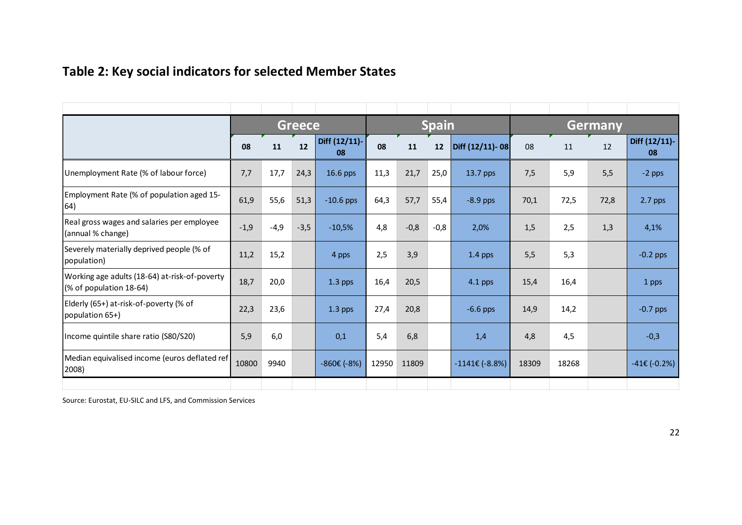# **Table 2: Key social indicators for selected Member States**

|                                                                          | <b>Greece</b> |        |        |                     |       |        | <b>Spain</b> |                         | <b>Germany</b> |       |      |                     |  |  |
|--------------------------------------------------------------------------|---------------|--------|--------|---------------------|-------|--------|--------------|-------------------------|----------------|-------|------|---------------------|--|--|
|                                                                          | 08            | 11     | 12     | Diff (12/11)-<br>08 | 08    | 11     | 12           | Diff (12/11)-08         | 08             | 11    | 12   | Diff (12/11)-<br>08 |  |  |
| Unemployment Rate (% of labour force)                                    | 7,7           | 17,7   | 24,3   | 16.6 pps            | 11,3  | 21,7   | 25,0         | 13.7 pps                | 7,5            | 5,9   | 5,5  | $-2$ pps            |  |  |
| Employment Rate (% of population aged 15-<br>64)                         | 61,9          | 55,6   | 51,3   | $-10.6$ pps         | 64,3  | 57,7   | 55,4         | $-8.9$ pps              | 70,1           | 72,5  | 72,8 | $2.7$ pps           |  |  |
| Real gross wages and salaries per employee<br>(annual % change)          | $-1,9$        | $-4,9$ | $-3,5$ | $-10,5%$            | 4,8   | $-0,8$ | $-0,8$       | 2,0%                    | 1,5            | 2,5   | 1,3  | 4,1%                |  |  |
| Severely materially deprived people (% of<br>population)                 | 11,2          | 15,2   |        | 4 pps               | 2,5   | 3,9    |              | $1.4$ pps               | 5,5            | 5,3   |      | $-0.2$ pps          |  |  |
| Working age adults (18-64) at-risk-of-poverty<br>(% of population 18-64) | 18,7          | 20,0   |        | $1.3$ pps           | 16,4  | 20,5   |              | $4.1$ pps               | 15,4           | 16,4  |      | 1 pps               |  |  |
| Elderly (65+) at-risk-of-poverty (% of<br>population 65+)                | 22,3          | 23,6   |        | $1.3$ pps           | 27,4  | 20,8   |              | $-6.6$ pps              | 14,9           | 14,2  |      | $-0.7$ pps          |  |  |
| Income quintile share ratio (S80/S20)                                    | 5,9           | 6,0    |        | 0,1                 | 5,4   | 6,8    |              | 1,4                     | 4,8            | 4,5   |      | $-0,3$              |  |  |
| Median equivalised income (euros deflated ref<br>2008)                   | 10800         | 9940   |        | $-860€ (-8%)$       | 12950 | 11809  |              | $-1141\epsilon$ (-8.8%) | 18309          | 18268 |      | $-41 \in (-0.2\%)$  |  |  |
|                                                                          |               |        |        |                     |       |        |              |                         |                |       |      |                     |  |  |

Source: Eurostat, EU-SILC and LFS, and Commission Services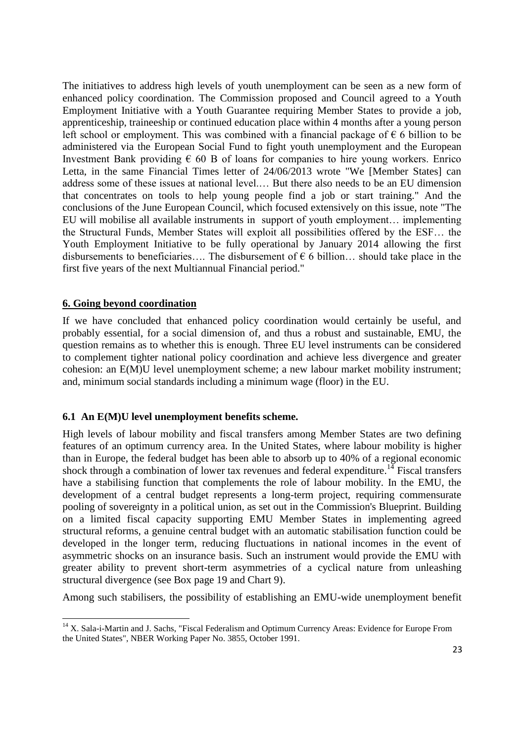The initiatives to address high levels of youth unemployment can be seen as a new form of enhanced policy coordination. The Commission proposed and Council agreed to a Youth Employment Initiative with a Youth Guarantee requiring Member States to provide a job, apprenticeship, traineeship or continued education place within 4 months after a young person left school or employment. This was combined with a financial package of  $\epsilon$  6 billion to be administered via the European Social Fund to fight youth unemployment and the European Investment Bank providing  $\epsilon$  60 B of loans for companies to hire young workers. Enrico Letta, in the same Financial Times letter of 24/06/2013 wrote "We [Member States] can address some of these issues at national level.… But there also needs to be an EU dimension that concentrates on tools to help young people find a job or start training." And the conclusions of the June European Council, which focused extensively on this issue, note "The EU will mobilise all available instruments in support of youth employment… implementing the Structural Funds, Member States will exploit all possibilities offered by the ESF… the Youth Employment Initiative to be fully operational by January 2014 allowing the first disbursements to beneficiaries.... The disbursement of  $\epsilon$  6 billion... should take place in the first five years of the next Multiannual Financial period."

### **6. Going beyond coordination**

 $\overline{\phantom{a}}$ 

If we have concluded that enhanced policy coordination would certainly be useful, and probably essential, for a social dimension of, and thus a robust and sustainable, EMU, the question remains as to whether this is enough. Three EU level instruments can be considered to complement tighter national policy coordination and achieve less divergence and greater cohesion: an E(M)U level unemployment scheme; a new labour market mobility instrument; and, minimum social standards including a minimum wage (floor) in the EU.

#### **6.1 An E(M)U level unemployment benefits scheme.**

High levels of labour mobility and fiscal transfers among Member States are two defining features of an optimum currency area. In the United States, where labour mobility is higher than in Europe, the federal budget has been able to absorb up to 40% of a regional economic shock through a combination of lower tax revenues and federal expenditure.<sup>14</sup> Fiscal transfers have a stabilising function that complements the role of labour mobility. In the EMU, the development of a central budget represents a long-term project, requiring commensurate pooling of sovereignty in a political union, as set out in the Commission's Blueprint. Building on a limited fiscal capacity supporting EMU Member States in implementing agreed structural reforms, a genuine central budget with an automatic stabilisation function could be developed in the longer term, reducing fluctuations in national incomes in the event of asymmetric shocks on an insurance basis. Such an instrument would provide the EMU with greater ability to prevent short-term asymmetries of a cyclical nature from unleashing structural divergence (see Box page 19 and Chart 9).

Among such stabilisers, the possibility of establishing an EMU-wide unemployment benefit

<sup>&</sup>lt;sup>14</sup> X. Sala-i-Martin and J. Sachs, "Fiscal Federalism and Optimum Currency Areas: Evidence for Europe From the United States", NBER Working Paper No. 3855, October 1991.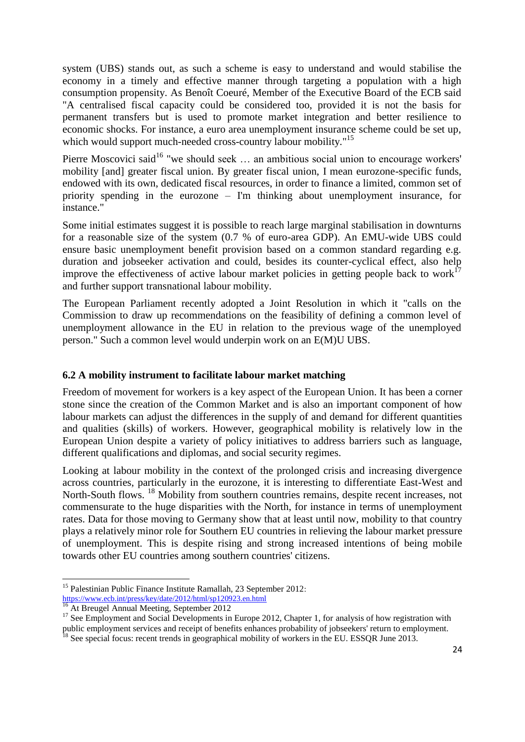system (UBS) stands out, as such a scheme is easy to understand and would stabilise the economy in a timely and effective manner through targeting a population with a high consumption propensity. As Benoît Coeuré, Member of the Executive Board of the ECB said "A centralised fiscal capacity could be considered too, provided it is not the basis for permanent transfers but is used to promote market integration and better resilience to economic shocks. For instance, a euro area unemployment insurance scheme could be set up, which would support much-needed cross-country labour mobility."<sup>15</sup>

Pierre Moscovici said<sup>16</sup> "we should seek ... an ambitious social union to encourage workers' mobility [and] greater fiscal union. By greater fiscal union, I mean eurozone-specific funds, endowed with its own, dedicated fiscal resources, in order to finance a limited, common set of priority spending in the eurozone – I'm thinking about unemployment insurance, for instance."

Some initial estimates suggest it is possible to reach large marginal stabilisation in downturns for a reasonable size of the system (0.7 % of euro-area GDP). An EMU-wide UBS could ensure basic unemployment benefit provision based on a common standard regarding e.g. duration and jobseeker activation and could, besides its counter-cyclical effect, also help improve the effectiveness of active labour market policies in getting people back to work<sup>1</sup> and further support transnational labour mobility.

The European Parliament recently adopted a Joint Resolution in which it "calls on the Commission to draw up recommendations on the feasibility of defining a common level of unemployment allowance in the EU in relation to the previous wage of the unemployed person." Such a common level would underpin work on an E(M)U UBS.

## **6.2 A mobility instrument to facilitate labour market matching**

Freedom of movement for workers is a key aspect of the European Union. It has been a corner stone since the creation of the Common Market and is also an important component of how labour markets can adjust the differences in the supply of and demand for different quantities and qualities (skills) of workers. However, geographical mobility is relatively low in the European Union despite a variety of policy initiatives to address barriers such as language, different qualifications and diplomas, and social security regimes.

Looking at labour mobility in the context of the prolonged crisis and increasing divergence across countries, particularly in the eurozone, it is interesting to differentiate East-West and North-South flows. <sup>18</sup> Mobility from southern countries remains, despite recent increases, not commensurate to the huge disparities with the North, for instance in terms of unemployment rates. Data for those moving to Germany show that at least until now, mobility to that country plays a relatively minor role for Southern EU countries in relieving the labour market pressure of unemployment. This is despite rising and strong increased intentions of being mobile towards other EU countries among southern countries' citizens.

 $\overline{a}$ 

<sup>&</sup>lt;sup>15</sup> Palestinian Public Finance Institute Ramallah, 23 September 2012: <https://www.ecb.int/press/key/date/2012/html/sp120923.en.html>

<sup>&</sup>lt;sup>16</sup> At Breugel Annual Meeting, September 2012

<sup>&</sup>lt;sup>17</sup> See Employment and Social Developments in Europe 2012, Chapter 1, for analysis of how registration with public employment services and receipt of benefits enhances probability of jobseekers' return to employment.

 $^{18}$  See special focus: recent trends in geographical mobility of workers in the EU. ESSQR June 2013.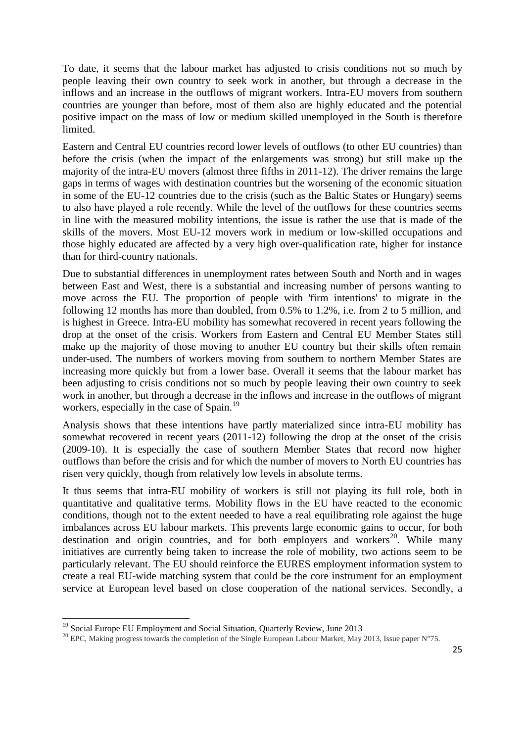To date, it seems that the labour market has adjusted to crisis conditions not so much by people leaving their own country to seek work in another, but through a decrease in the inflows and an increase in the outflows of migrant workers. Intra-EU movers from southern countries are younger than before, most of them also are highly educated and the potential positive impact on the mass of low or medium skilled unemployed in the South is therefore limited.

Eastern and Central EU countries record lower levels of outflows (to other EU countries) than before the crisis (when the impact of the enlargements was strong) but still make up the majority of the intra-EU movers (almost three fifths in 2011-12). The driver remains the large gaps in terms of wages with destination countries but the worsening of the economic situation in some of the EU-12 countries due to the crisis (such as the Baltic States or Hungary) seems to also have played a role recently. While the level of the outflows for these countries seems in line with the measured mobility intentions, the issue is rather the use that is made of the skills of the movers. Most EU-12 movers work in medium or low-skilled occupations and those highly educated are affected by a very high over-qualification rate, higher for instance than for third-country nationals.

Due to substantial differences in unemployment rates between South and North and in wages between East and West, there is a substantial and increasing number of persons wanting to move across the EU. The proportion of people with 'firm intentions' to migrate in the following 12 months has more than doubled, from 0.5% to 1.2%, i.e. from 2 to 5 million, and is highest in Greece. Intra-EU mobility has somewhat recovered in recent years following the drop at the onset of the crisis. Workers from Eastern and Central EU Member States still make up the majority of those moving to another EU country but their skills often remain under-used. The numbers of workers moving from southern to northern Member States are increasing more quickly but from a lower base. Overall it seems that the labour market has been adjusting to crisis conditions not so much by people leaving their own country to seek work in another, but through a decrease in the inflows and increase in the outflows of migrant workers, especially in the case of Spain.<sup>19</sup>

Analysis shows that these intentions have partly materialized since intra-EU mobility has somewhat recovered in recent years (2011-12) following the drop at the onset of the crisis (2009-10). It is especially the case of southern Member States that record now higher outflows than before the crisis and for which the number of movers to North EU countries has risen very quickly, though from relatively low levels in absolute terms.

It thus seems that intra-EU mobility of workers is still not playing its full role, both in quantitative and qualitative terms. Mobility flows in the EU have reacted to the economic conditions, though not to the extent needed to have a real equilibrating role against the huge imbalances across EU labour markets. This prevents large economic gains to occur, for both destination and origin countries, and for both employers and workers<sup>20</sup>. While many initiatives are currently being taken to increase the role of mobility, two actions seem to be particularly relevant. The EU should reinforce the EURES employment information system to create a real EU-wide matching system that could be the core instrument for an employment service at European level based on close cooperation of the national services. Secondly, a

<sup>&</sup>lt;sup>19</sup> Social Europe EU Employment and Social Situation, Quarterly Review, June 2013

<sup>&</sup>lt;sup>20</sup> EPC, Making progress towards the completion of the Single European Labour Market, May 2013, Issue paper N°75.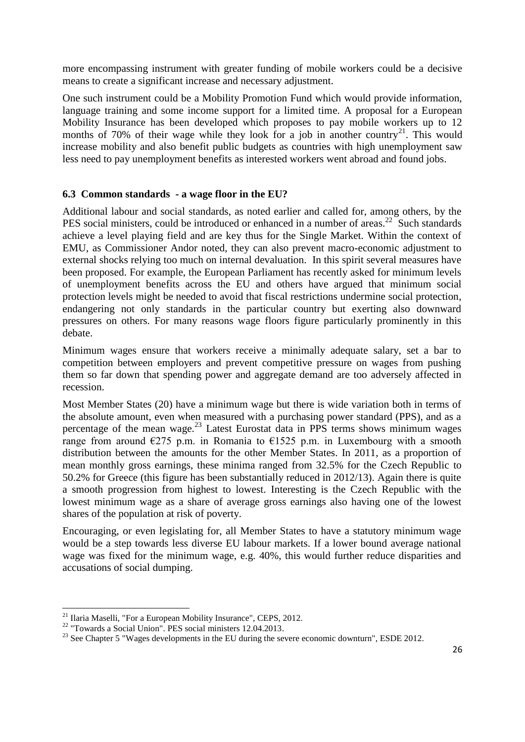more encompassing instrument with greater funding of mobile workers could be a decisive means to create a significant increase and necessary adjustment.

One such instrument could be a Mobility Promotion Fund which would provide information, language training and some income support for a limited time. A proposal for a European Mobility Insurance has been developed which proposes to pay mobile workers up to 12 months of 70% of their wage while they look for a job in another country<sup>21</sup>. This would increase mobility and also benefit public budgets as countries with high unemployment saw less need to pay unemployment benefits as interested workers went abroad and found jobs.

## **6.3 Common standards - a wage floor in the EU?**

Additional labour and social standards, as noted earlier and called for, among others, by the PES social ministers, could be introduced or enhanced in a number of areas.<sup>22</sup> Such standards achieve a level playing field and are key thus for the Single Market. Within the context of EMU, as Commissioner Andor noted, they can also prevent macro-economic adjustment to external shocks relying too much on internal devaluation. In this spirit several measures have been proposed. For example, the European Parliament has recently asked for minimum levels of unemployment benefits across the EU and others have argued that minimum social protection levels might be needed to avoid that fiscal restrictions undermine social protection, endangering not only standards in the particular country but exerting also downward pressures on others. For many reasons wage floors figure particularly prominently in this debate.

Minimum wages ensure that workers receive a minimally adequate salary, set a bar to competition between employers and prevent competitive pressure on wages from pushing them so far down that spending power and aggregate demand are too adversely affected in recession.

Most Member States (20) have a minimum wage but there is wide variation both in terms of the absolute amount, even when measured with a purchasing power standard (PPS), and as a percentage of the mean wage. $^{23}$  Latest Eurostat data in PPS terms shows minimum wages range from around  $\epsilon$ 275 p.m. in Romania to  $\epsilon$ 1525 p.m. in Luxembourg with a smooth distribution between the amounts for the other Member States. In 2011, as a proportion of mean monthly gross earnings, these minima ranged from 32.5% for the Czech Republic to 50.2% for Greece (this figure has been substantially reduced in 2012/13). Again there is quite a smooth progression from highest to lowest. Interesting is the Czech Republic with the lowest minimum wage as a share of average gross earnings also having one of the lowest shares of the population at risk of poverty.

Encouraging, or even legislating for, all Member States to have a statutory minimum wage would be a step towards less diverse EU labour markets. If a lower bound average national wage was fixed for the minimum wage, e.g. 40%, this would further reduce disparities and accusations of social dumping.

 $\overline{a}$  $21$  Ilaria Maselli, "For a European Mobility Insurance", CEPS, 2012.

<sup>&</sup>lt;sup>22</sup> "Towards a Social Union". PES social ministers 12.04.2013.

 $23$  See Chapter 5 "Wages developments in the EU during the severe economic downturn", ESDE 2012.